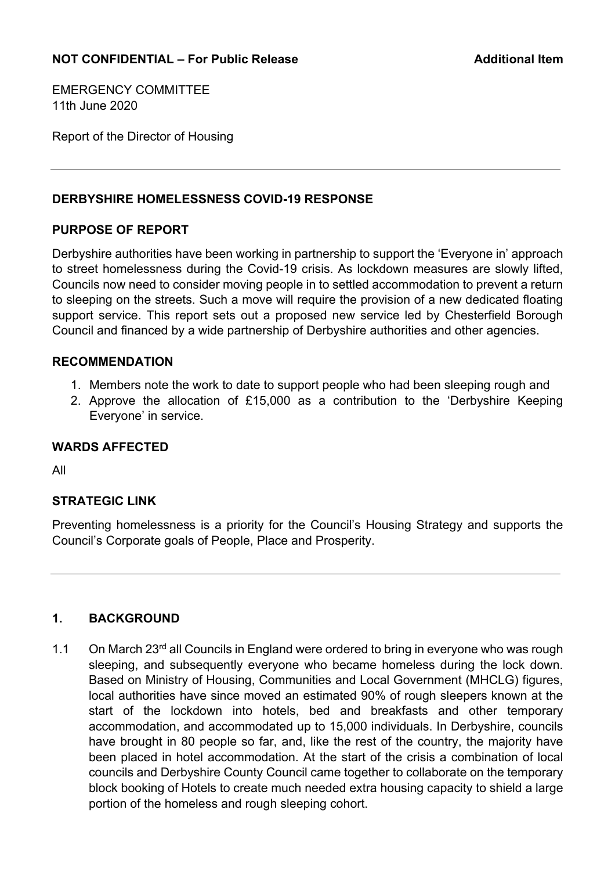EMERGENCY COMMITTEE 11th June 2020

Report of the Director of Housing

#### **DERBYSHIRE HOMELESSNESS COVID-19 RESPONSE**

#### **PURPOSE OF REPORT**

Derbyshire authorities have been working in partnership to support the 'Everyone in' approach to street homelessness during the Covid-19 crisis. As lockdown measures are slowly lifted, Councils now need to consider moving people in to settled accommodation to prevent a return to sleeping on the streets. Such a move will require the provision of a new dedicated floating support service. This report sets out a proposed new service led by Chesterfield Borough Council and financed by a wide partnership of Derbyshire authorities and other agencies.

#### **RECOMMENDATION**

- 1. Members note the work to date to support people who had been sleeping rough and
- 2. Approve the allocation of £15,000 as a contribution to the 'Derbyshire Keeping Everyone' in service.

#### **WARDS AFFECTED**

All

#### **STRATEGIC LINK**

Preventing homelessness is a priority for the Council's Housing Strategy and supports the Council's Corporate goals of People, Place and Prosperity.

## **1. BACKGROUND**

1.1 On March 23<sup>rd</sup> all Councils in England were ordered to bring in everyone who was rough sleeping, and subsequently everyone who became homeless during the lock down. Based on Ministry of Housing, Communities and Local Government (MHCLG) figures, local authorities have since moved an estimated 90% of rough sleepers known at the start of the lockdown into hotels, bed and breakfasts and other temporary accommodation, and accommodated up to 15,000 individuals. In Derbyshire, councils have brought in 80 people so far, and, like the rest of the country, the majority have been placed in hotel accommodation. At the start of the crisis a combination of local councils and Derbyshire County Council came together to collaborate on the temporary block booking of Hotels to create much needed extra housing capacity to shield a large portion of the homeless and rough sleeping cohort.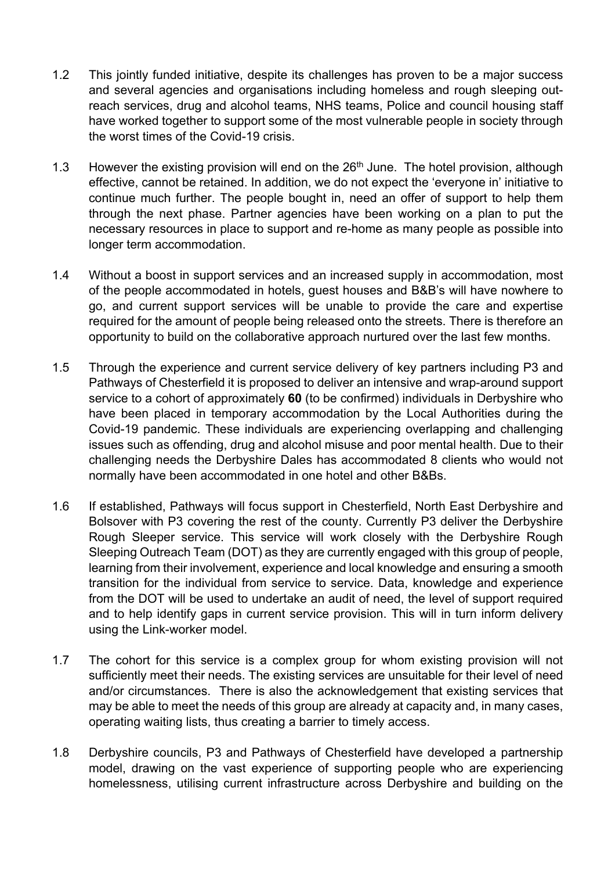- 1.2 This jointly funded initiative, despite its challenges has proven to be a major success and several agencies and organisations including homeless and rough sleeping outreach services, drug and alcohol teams, NHS teams, Police and council housing staff have worked together to support some of the most vulnerable people in society through the worst times of the Covid-19 crisis.
- 1.3 However the existing provision will end on the  $26<sup>th</sup>$  June. The hotel provision, although effective, cannot be retained. In addition, we do not expect the 'everyone in' initiative to continue much further. The people bought in, need an offer of support to help them through the next phase. Partner agencies have been working on a plan to put the necessary resources in place to support and re-home as many people as possible into longer term accommodation.
- 1.4 Without a boost in support services and an increased supply in accommodation, most of the people accommodated in hotels, guest houses and B&B's will have nowhere to go, and current support services will be unable to provide the care and expertise required for the amount of people being released onto the streets. There is therefore an opportunity to build on the collaborative approach nurtured over the last few months.
- 1.5 Through the experience and current service delivery of key partners including P3 and Pathways of Chesterfield it is proposed to deliver an intensive and wrap-around support service to a cohort of approximately **60** (to be confirmed) individuals in Derbyshire who have been placed in temporary accommodation by the Local Authorities during the Covid-19 pandemic. These individuals are experiencing overlapping and challenging issues such as offending, drug and alcohol misuse and poor mental health. Due to their challenging needs the Derbyshire Dales has accommodated 8 clients who would not normally have been accommodated in one hotel and other B&Bs.
- 1.6 If established, Pathways will focus support in Chesterfield, North East Derbyshire and Bolsover with P3 covering the rest of the county. Currently P3 deliver the Derbyshire Rough Sleeper service. This service will work closely with the Derbyshire Rough Sleeping Outreach Team (DOT) as they are currently engaged with this group of people, learning from their involvement, experience and local knowledge and ensuring a smooth transition for the individual from service to service. Data, knowledge and experience from the DOT will be used to undertake an audit of need, the level of support required and to help identify gaps in current service provision. This will in turn inform delivery using the Link-worker model.
- 1.7 The cohort for this service is a complex group for whom existing provision will not sufficiently meet their needs. The existing services are unsuitable for their level of need and/or circumstances. There is also the acknowledgement that existing services that may be able to meet the needs of this group are already at capacity and, in many cases, operating waiting lists, thus creating a barrier to timely access.
- 1.8 Derbyshire councils, P3 and Pathways of Chesterfield have developed a partnership model, drawing on the vast experience of supporting people who are experiencing homelessness, utilising current infrastructure across Derbyshire and building on the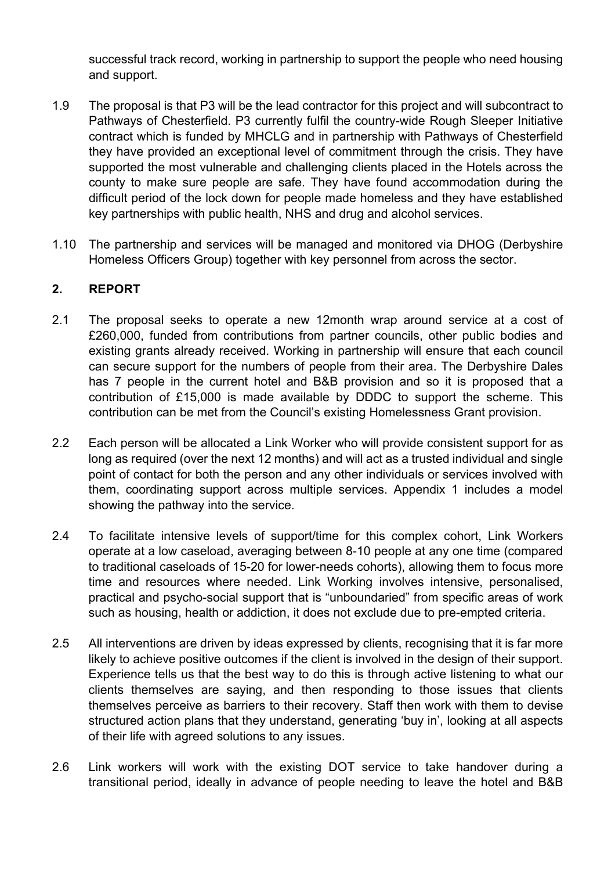successful track record, working in partnership to support the people who need housing and support.

- 1.9 The proposal is that P3 will be the lead contractor for this project and will subcontract to Pathways of Chesterfield. P3 currently fulfil the country-wide Rough Sleeper Initiative contract which is funded by MHCLG and in partnership with Pathways of Chesterfield they have provided an exceptional level of commitment through the crisis. They have supported the most vulnerable and challenging clients placed in the Hotels across the county to make sure people are safe. They have found accommodation during the difficult period of the lock down for people made homeless and they have established key partnerships with public health, NHS and drug and alcohol services.
- 1.10 The partnership and services will be managed and monitored via DHOG (Derbyshire Homeless Officers Group) together with key personnel from across the sector.

# **2. REPORT**

- 2.1 The proposal seeks to operate a new 12month wrap around service at a cost of £260,000, funded from contributions from partner councils, other public bodies and existing grants already received. Working in partnership will ensure that each council can secure support for the numbers of people from their area. The Derbyshire Dales has 7 people in the current hotel and B&B provision and so it is proposed that a contribution of £15,000 is made available by DDDC to support the scheme. This contribution can be met from the Council's existing Homelessness Grant provision.
- 2.2 Each person will be allocated a Link Worker who will provide consistent support for as long as required (over the next 12 months) and will act as a trusted individual and single point of contact for both the person and any other individuals or services involved with them, coordinating support across multiple services. Appendix 1 includes a model showing the pathway into the service.
- 2.4 To facilitate intensive levels of support/time for this complex cohort, Link Workers operate at a low caseload, averaging between 8-10 people at any one time (compared to traditional caseloads of 15-20 for lower-needs cohorts), allowing them to focus more time and resources where needed. Link Working involves intensive, personalised, practical and psycho-social support that is "unboundaried" from specific areas of work such as housing, health or addiction, it does not exclude due to pre-empted criteria.
- 2.5 All interventions are driven by ideas expressed by clients, recognising that it is far more likely to achieve positive outcomes if the client is involved in the design of their support. Experience tells us that the best way to do this is through active listening to what our clients themselves are saying, and then responding to those issues that clients themselves perceive as barriers to their recovery. Staff then work with them to devise structured action plans that they understand, generating 'buy in', looking at all aspects of their life with agreed solutions to any issues.
- 2.6 Link workers will work with the existing DOT service to take handover during a transitional period, ideally in advance of people needing to leave the hotel and B&B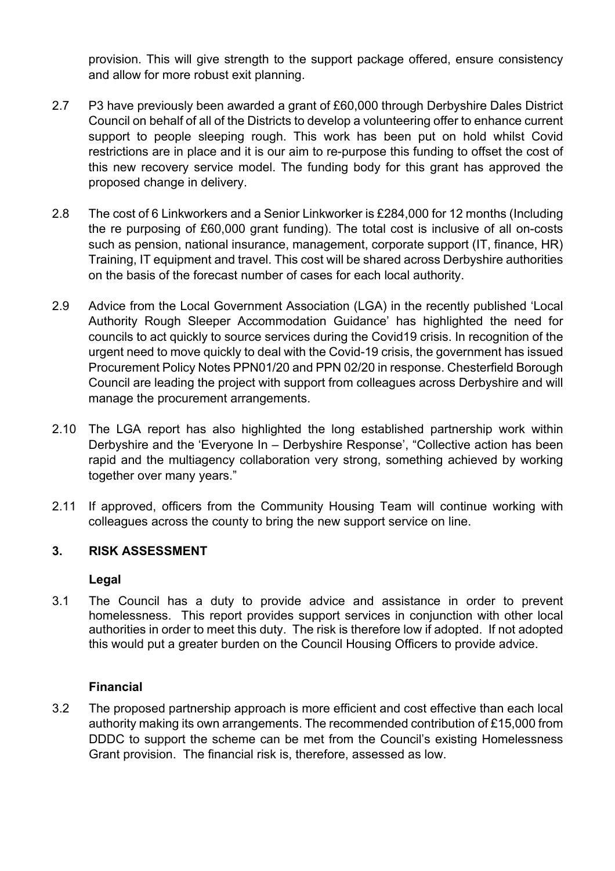provision. This will give strength to the support package offered, ensure consistency and allow for more robust exit planning.

- 2.7 P3 have previously been awarded a grant of £60,000 through Derbyshire Dales District Council on behalf of all of the Districts to develop a volunteering offer to enhance current support to people sleeping rough. This work has been put on hold whilst Covid restrictions are in place and it is our aim to re-purpose this funding to offset the cost of this new recovery service model. The funding body for this grant has approved the proposed change in delivery.
- 2.8 The cost of 6 Linkworkers and a Senior Linkworker is £284,000 for 12 months (Including the re purposing of £60,000 grant funding). The total cost is inclusive of all on-costs such as pension, national insurance, management, corporate support (IT, finance, HR) Training, IT equipment and travel. This cost will be shared across Derbyshire authorities on the basis of the forecast number of cases for each local authority.
- 2.9 Advice from the Local Government Association (LGA) in the recently published 'Local Authority Rough Sleeper Accommodation Guidance' has highlighted the need for councils to act quickly to source services during the Covid19 crisis. In recognition of the urgent need to move quickly to deal with the Covid-19 crisis, the government has issued Procurement Policy Notes PPN01/20 and PPN 02/20 in response. Chesterfield Borough Council are leading the project with support from colleagues across Derbyshire and will manage the procurement arrangements.
- 2.10 The LGA report has also highlighted the long established partnership work within Derbyshire and the 'Everyone In – Derbyshire Response', "Collective action has been rapid and the multiagency collaboration very strong, something achieved by working together over many years."
- 2.11 If approved, officers from the Community Housing Team will continue working with colleagues across the county to bring the new support service on line.

# **3. RISK ASSESSMENT**

#### **Legal**

3.1 The Council has a duty to provide advice and assistance in order to prevent homelessness. This report provides support services in conjunction with other local authorities in order to meet this duty. The risk is therefore low if adopted. If not adopted this would put a greater burden on the Council Housing Officers to provide advice.

# **Financial**

3.2 The proposed partnership approach is more efficient and cost effective than each local authority making its own arrangements. The recommended contribution of £15,000 from DDDC to support the scheme can be met from the Council's existing Homelessness Grant provision. The financial risk is, therefore, assessed as low.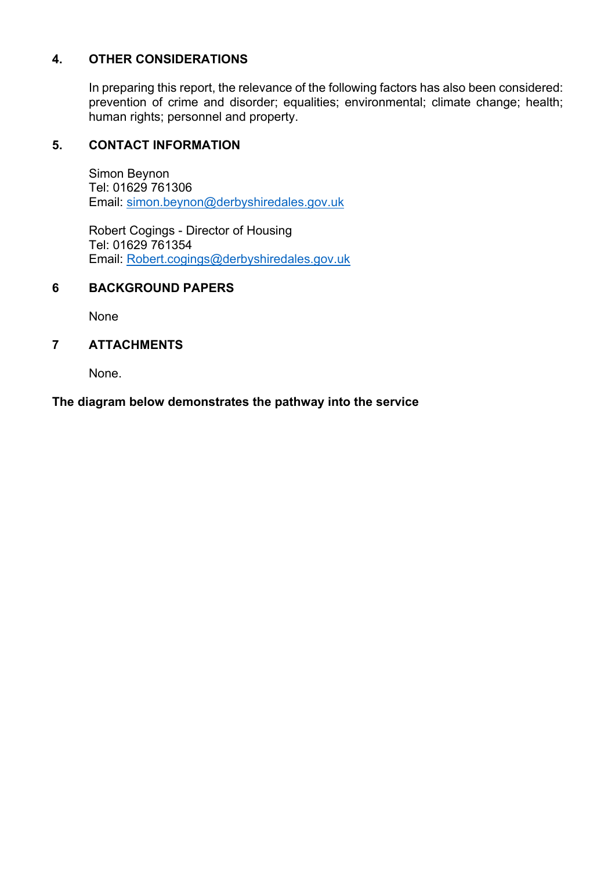# **4. OTHER CONSIDERATIONS**

 In preparing this report, the relevance of the following factors has also been considered: prevention of crime and disorder; equalities; environmental; climate change; health; human rights; personnel and property.

## **5. CONTACT INFORMATION**

 Simon Beynon Tel: 01629 761306 Email: simon.beynon@derbyshiredales.gov.uk

 Robert Cogings - Director of Housing Tel: 01629 761354 Email: Robert.cogings@derbyshiredales.gov.uk

#### **6 BACKGROUND PAPERS**

None

## **7 ATTACHMENTS**

None.

#### **The diagram below demonstrates the pathway into the service**